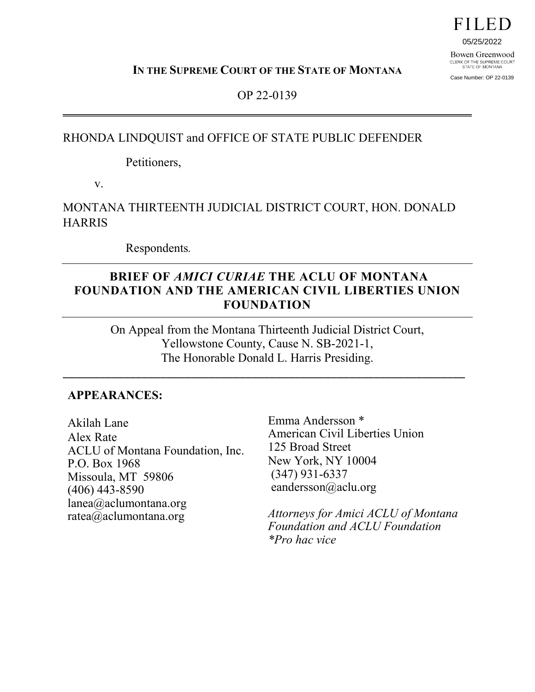**FILED** 

05/25/2022

Bowen Greenwood CLERK OF THE SUPREME COURT<br>STATE OF MONTANA Case Number: OP 22-0139

**IN THE SUPREME COURT OF THE STATE OF MONTANA** 

OP 22-0139

#### RHONDA LINDQUIST and OFFICE OF STATE PUBLIC DEFENDER

Petitioners,

v.

MONTANA THIRTEENTH JUDICIAL DISTRICT COURT, HON. DONALD **HARRIS** 

Respondents*.*

## **BRIEF OF** *AMICI CURIAE* **THE ACLU OF MONTANA FOUNDATION AND THE AMERICAN CIVIL LIBERTIES UNION FOUNDATION**

On Appeal from the Montana Thirteenth Judicial District Court, Yellowstone County, Cause N. SB-2021-1, The Honorable Donald L. Harris Presiding.

\_\_\_\_\_\_\_\_\_\_\_\_\_\_\_\_\_\_\_\_\_\_\_\_\_\_\_\_\_\_\_\_\_\_\_\_\_\_\_\_\_\_\_\_\_\_\_\_\_\_\_\_\_\_\_\_\_\_\_\_\_\_\_\_\_\_

## **APPEARANCES:**

Akilah Lane Alex Rate ACLU of Montana Foundation, Inc. P.O. Box 1968 Missoula, MT 59806 (406) 443-8590 lanea@aclumontana.org [ratea@aclumontana.org](mailto:ratea@aclumontana.org)

Emma Andersson \* American Civil Liberties Union 125 Broad Street New York, NY 10004 (347) 931-6337 eandersson@aclu.org

*Attorneys for Amici ACLU of Montana Foundation and ACLU Foundation \*Pro hac vice*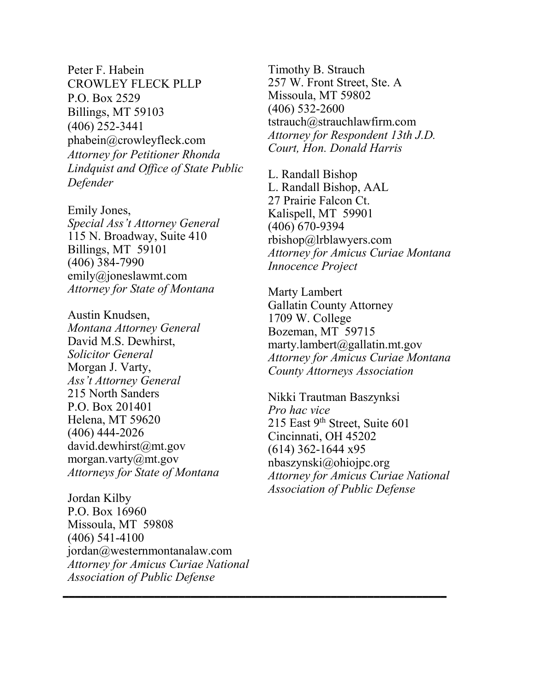Peter F. Habein CROWLEY FLECK PLLP P.O. Box 2529 Billings, MT 59103 (406) 252-3441 phabein@crowleyfleck.com *Attorney for Petitioner Rhonda Lindquist and Office of State Public Defender*

Emily Jones, *Special Ass't Attorney General* 115 N. Broadway, Suite 410 Billings, MT 59101 (406) 384-7990 [emily@joneslawmt.com](mailto:emily@joneslawmt.com) *Attorney for State of Montana*

Austin Knudsen, *Montana Attorney General* David M.S. Dewhirst, *Solicitor General* Morgan J. Varty, *Ass't Attorney General* 215 North Sanders P.O. Box 201401 Helena, MT 59620 (406) 444-2026 [david.dewhirst@mt.gov](mailto:david.dewhirst@mt.gov) morgan.varty@mt.gov *Attorneys for State of Montana*

Jordan Kilby P.O. Box 16960 Missoula, MT 59808 (406) 541-4100 [jordan@westernmontanalaw.com](mailto:jordan@westernmontanalaw.com) *Attorney for Amicus Curiae National Association of Public Defense*

\_\_\_\_\_\_\_\_\_\_\_\_\_\_\_\_\_\_\_\_\_\_\_\_\_\_\_\_\_\_\_\_\_\_\_\_\_\_\_\_\_\_\_\_\_\_\_\_\_\_\_\_\_\_\_\_\_\_\_\_\_\_\_

Timothy B. Strauch 257 W. Front Street, Ste. A Missoula, MT 59802 (406) 532-2600 tstrauch@strauchlawfirm.com *Attorney for Respondent 13th J.D. Court, Hon. Donald Harris*

L. Randall Bishop L. Randall Bishop, AAL 27 Prairie Falcon Ct. Kalispell, MT 59901 (406) 670-9394 rbishop@lrblawyers.com *Attorney for Amicus Curiae Montana Innocence Project*

Marty Lambert Gallatin County Attorney 1709 W. College Bozeman, MT 59715 [marty.lambert@gallatin.mt.gov](mailto:marty.lambert@gallatin.mt.gov) *Attorney for Amicus Curiae Montana County Attorneys Association*

Nikki Trautman Baszynksi *Pro hac vice* 215 East 9<sup>th</sup> Street, Suite 601 Cincinnati, OH 45202 (614) 362-1644 x95 [nbaszynski@ohiojpc.org](mailto:nbaszynski@ohiojpc.org) *Attorney for Amicus Curiae National Association of Public Defense*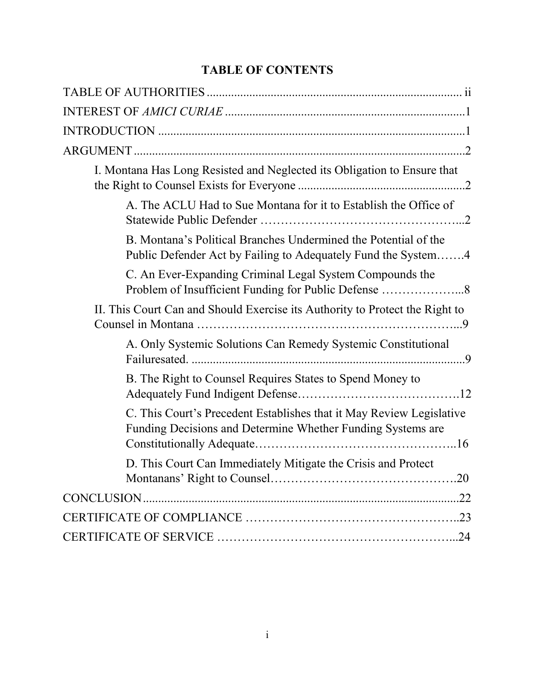# **TABLE OF CONTENTS**

| I. Montana Has Long Resisted and Neglected its Obligation to Ensure that                                                            |
|-------------------------------------------------------------------------------------------------------------------------------------|
| A. The ACLU Had to Sue Montana for it to Establish the Office of                                                                    |
| B. Montana's Political Branches Undermined the Potential of the<br>Public Defender Act by Failing to Adequately Fund the System4    |
| C. An Ever-Expanding Criminal Legal System Compounds the<br>Problem of Insufficient Funding for Public Defense 8                    |
| II. This Court Can and Should Exercise its Authority to Protect the Right to                                                        |
| A. Only Systemic Solutions Can Remedy Systemic Constitutional                                                                       |
| B. The Right to Counsel Requires States to Spend Money to                                                                           |
| C. This Court's Precedent Establishes that it May Review Legislative<br>Funding Decisions and Determine Whether Funding Systems are |
| D. This Court Can Immediately Mitigate the Crisis and Protect                                                                       |
|                                                                                                                                     |
|                                                                                                                                     |
|                                                                                                                                     |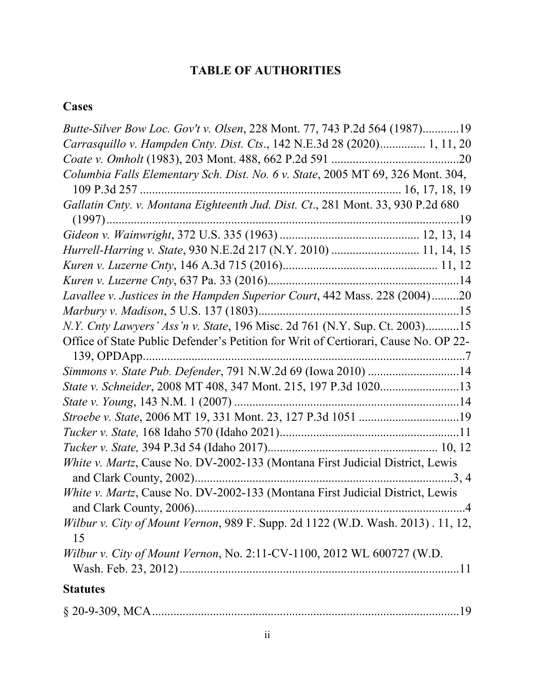# **TABLE OF AUTHORITIES**

# **Cases**

| Butte-Silver Bow Loc. Gov't v. Olsen, 228 Mont. 77, 743 P.2d 564 (1987)19           |
|-------------------------------------------------------------------------------------|
| Carrasquillo v. Hampden Cnty. Dist. Cts., 142 N.E.3d 28 (2020) 1, 11, 20            |
|                                                                                     |
| Columbia Falls Elementary Sch. Dist. No. 6 v. State, 2005 MT 69, 326 Mont. 304,     |
|                                                                                     |
| Gallatin Cnty. v. Montana Eighteenth Jud. Dist. Ct., 281 Mont. 33, 930 P.2d 680     |
|                                                                                     |
|                                                                                     |
| Hurrell-Harring v. State, 930 N.E.2d 217 (N.Y. 2010)  11, 14, 15                    |
|                                                                                     |
|                                                                                     |
| Lavallee v. Justices in the Hampden Superior Court, 442 Mass. 228 (2004)20          |
|                                                                                     |
| N.Y. Cnty Lawyers' Ass'n v. State, 196 Misc. 2d 761 (N.Y. Sup. Ct. 2003)15          |
| Office of State Public Defender's Petition for Writ of Certiorari, Cause No. OP 22- |
|                                                                                     |
| Simmons v. State Pub. Defender, 791 N.W.2d 69 (Iowa 2010) 14                        |
|                                                                                     |
|                                                                                     |
|                                                                                     |
|                                                                                     |
|                                                                                     |
| White v. Martz, Cause No. DV-2002-133 (Montana First Judicial District, Lewis       |
|                                                                                     |
| White v. Martz, Cause No. DV-2002-133 (Montana First Judicial District, Lewis       |
|                                                                                     |
| Wilbur v. City of Mount Vernon, 989 F. Supp. 2d 1122 (W.D. Wash. 2013). 11, 12,     |
| 15                                                                                  |
| Wilbur v. City of Mount Vernon, No. 2:11-CV-1100, 2012 WL 600727 (W.D.              |
|                                                                                     |
| <b>Statutes</b>                                                                     |
|                                                                                     |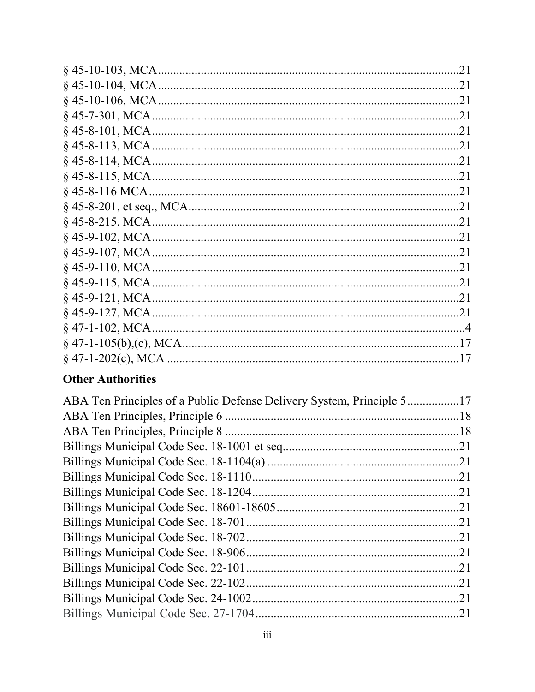| .21 |
|-----|
| .21 |
| .21 |
|     |
|     |
|     |
|     |
|     |
|     |
|     |
|     |
|     |
|     |
|     |
|     |
|     |
|     |
|     |
|     |
|     |
|     |

# **Other Authorities**

| .21 |
|-----|
| .21 |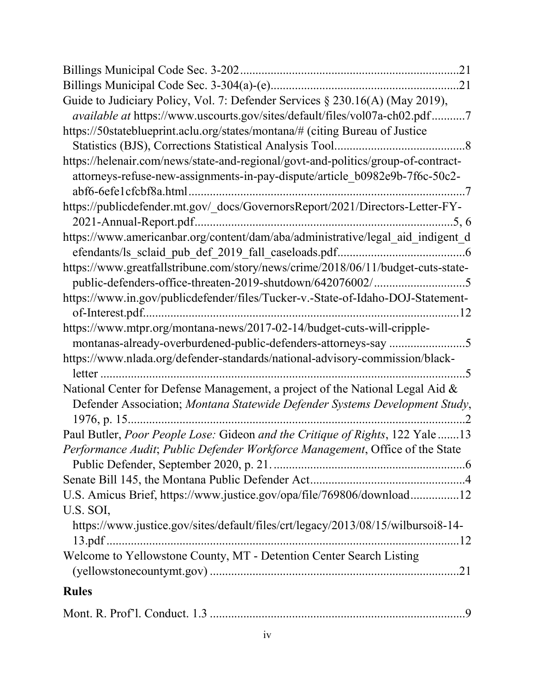| .21                                                                                  |
|--------------------------------------------------------------------------------------|
| Guide to Judiciary Policy, Vol. 7: Defender Services § 230.16(A) (May 2019),         |
| <i>available at https://www.uscourts.gov/sites/default/files/vol07a-ch02.pdf7</i>    |
| https://50stateblueprint.aclu.org/states/montana/# (citing Bureau of Justice         |
|                                                                                      |
| https://helenair.com/news/state-and-regional/govt-and-politics/group-of-contract-    |
| attorneys-refuse-new-assignments-in-pay-dispute/article b0982e9b-7f6c-50c2-          |
|                                                                                      |
| https://publicdefender.mt.gov/_docs/GovernorsReport/2021/Directors-Letter-FY-        |
|                                                                                      |
| https://www.americanbar.org/content/dam/aba/administrative/legal aid indigent d      |
|                                                                                      |
| https://www.greatfallstribune.com/story/news/crime/2018/06/11/budget-cuts-state-     |
| public-defenders-office-threaten-2019-shutdown/642076002/5                           |
| https://www.in.gov/publicdefender/files/Tucker-v.-State-of-Idaho-DOJ-Statement-      |
|                                                                                      |
| https://www.mtpr.org/montana-news/2017-02-14/budget-cuts-will-cripple-               |
| montanas-already-overburdened-public-defenders-attorneys-say 5                       |
| https://www.nlada.org/defender-standards/national-advisory-commission/black-         |
|                                                                                      |
| National Center for Defense Management, a project of the National Legal Aid &        |
| Defender Association; Montana Statewide Defender Systems Development Study,          |
|                                                                                      |
| Paul Butler, <i>Poor People Lose:</i> Gideon and the Critique of Rights, 122 Yale 13 |
| Performance Audit; Public Defender Workforce Management, Office of the State         |
|                                                                                      |
|                                                                                      |
| U.S. Amicus Brief, https://www.justice.gov/opa/file/769806/download12                |
| U.S. SOI,                                                                            |
| https://www.justice.gov/sites/default/files/crt/legacy/2013/08/15/wilbursoi8-14-     |
| Welcome to Yellowstone County, MT - Detention Center Search Listing                  |
|                                                                                      |
| <b>Rules</b>                                                                         |
|                                                                                      |
|                                                                                      |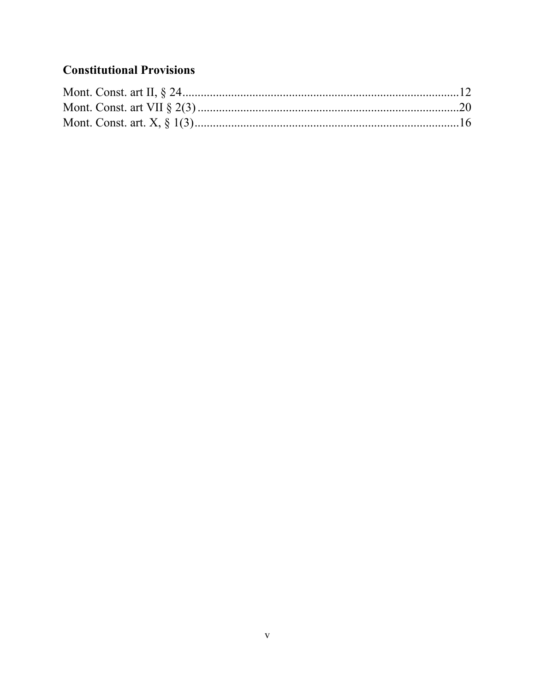# **Constitutional Provisions**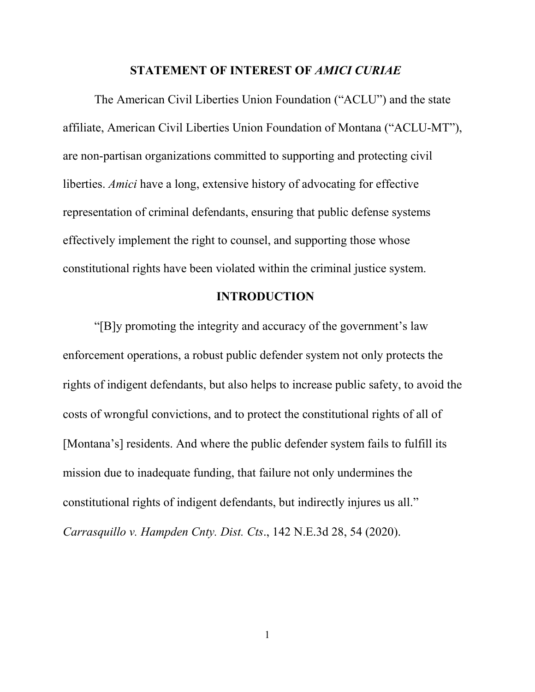#### **STATEMENT OF INTEREST OF** *AMICI CURIAE*

The American Civil Liberties Union Foundation ("ACLU") and the state affiliate, American Civil Liberties Union Foundation of Montana ("ACLU-MT"), are non-partisan organizations committed to supporting and protecting civil liberties. *Amici* have a long, extensive history of advocating for effective representation of criminal defendants, ensuring that public defense systems effectively implement the right to counsel, and supporting those whose constitutional rights have been violated within the criminal justice system.

#### **INTRODUCTION**

"[B]y promoting the integrity and accuracy of the government's law enforcement operations, a robust public defender system not only protects the rights of indigent defendants, but also helps to increase public safety, to avoid the costs of wrongful convictions, and to protect the constitutional rights of all of [Montana's] residents. And where the public defender system fails to fulfill its mission due to inadequate funding, that failure not only undermines the constitutional rights of indigent defendants, but indirectly injures us all." *Carrasquillo v. Hampden Cnty. Dist. Cts*., 142 N.E.3d 28, 54 (2020).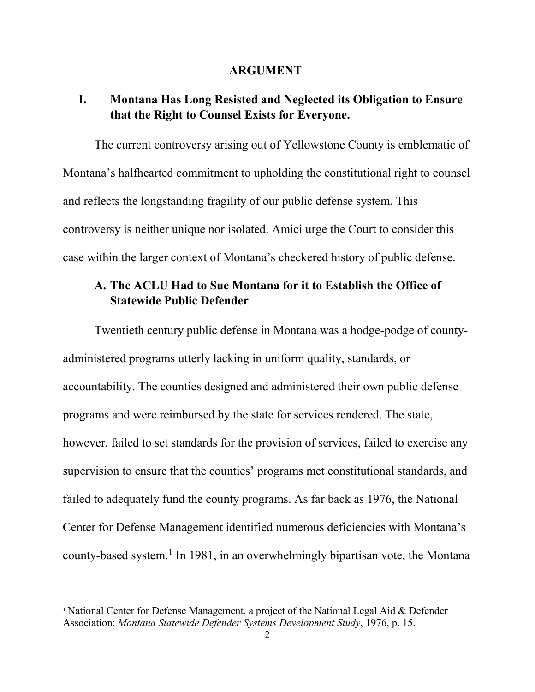#### **ARGUMENT**

#### **I. Montana Has Long Resisted and Neglected its Obligation to Ensure that the Right to Counsel Exists for Everyone.**

The current controversy arising out of Yellowstone County is emblematic of Montana's halfhearted commitment to upholding the constitutional right to counsel and reflects the longstanding fragility of our public defense system. This controversy is neither unique nor isolated. Amici urge the Court to consider this case within the larger context of Montana's checkered history of public defense.

## **A. The ACLU Had to Sue Montana for it to Establish the Office of Statewide Public Defender**

Twentieth century public defense in Montana was a hodge-podge of countyadministered programs utterly lacking in uniform quality, standards, or accountability. The counties designed and administered their own public defense programs and were reimbursed by the state for services rendered. The state, however, failed to set standards for the provision of services, failed to exercise any supervision to ensure that the counties' programs met constitutional standards, and failed to adequately fund the county programs. As far back as 1976, the National Center for Defense Management identified numerous deficiencies with Montana's county-based system.[1](#page-9-0) In 1981, in an overwhelmingly bipartisan vote, the Montana

l

<sup>&</sup>lt;sup>1</sup> National Center for Defense Management, a project of the National Legal Aid & Defender Association; *Montana Statewide Defender Systems Development Study*, 1976, p. 15.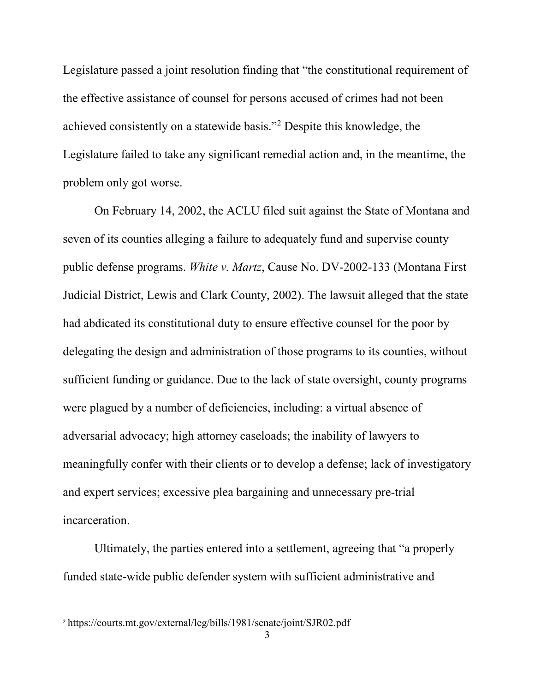Legislature passed a joint resolution finding that "the constitutional requirement of the effective assistance of counsel for persons accused of crimes had not been achieved consistently on a statewide basis."[2](#page-9-1) Despite this knowledge, the Legislature failed to take any significant remedial action and, in the meantime, the problem only got worse.

On February 14, 2002, the ACLU filed suit against the State of Montana and seven of its counties alleging a failure to adequately fund and supervise county public defense programs. *White v. Martz*, Cause No. DV-2002-133 (Montana First Judicial District, Lewis and Clark County, 2002). The lawsuit alleged that the state had abdicated its constitutional duty to ensure effective counsel for the poor by delegating the design and administration of those programs to its counties, without sufficient funding or guidance. Due to the lack of state oversight, county programs were plagued by a number of deficiencies, including: a virtual absence of adversarial advocacy; high attorney caseloads; the inability of lawyers to meaningfully confer with their clients or to develop a defense; lack of investigatory and expert services; excessive plea bargaining and unnecessary pre-trial incarceration.

<span id="page-9-0"></span>Ultimately, the parties entered into a settlement, agreeing that "a properly funded state-wide public defender system with sufficient administrative and

l

<span id="page-9-1"></span><sup>2</sup> <https://courts.mt.gov/external/leg/bills/1981/senate/joint/SJR02.pdf>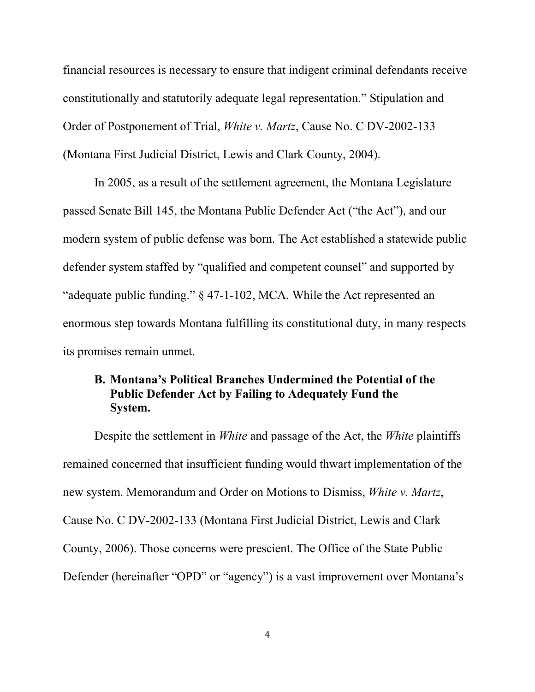financial resources is necessary to ensure that indigent criminal defendants receive constitutionally and statutorily adequate legal representation." Stipulation and Order of Postponement of Trial, *White v. Martz*, Cause No. C DV-2002-133 (Montana First Judicial District, Lewis and Clark County, 2004).

In 2005, as a result of the settlement agreement, the Montana Legislature passed Senate Bill 145, the Montana Public Defender Act ("the Act"), and our modern system of public defense was born. The Act established a statewide public defender system staffed by "qualified and competent counsel" and supported by "adequate public funding." § 47-1-102, MCA. While the Act represented an enormous step towards Montana fulfilling its constitutional duty, in many respects its promises remain unmet.

### **B. Montana's Political Branches Undermined the Potential of the Public Defender Act by Failing to Adequately Fund the System.**

Despite the settlement in *White* and passage of the Act, the *White* plaintiffs remained concerned that insufficient funding would thwart implementation of the new system. Memorandum and Order on Motions to Dismiss, *White v. Martz*, Cause No. C DV-2002-133 (Montana First Judicial District, Lewis and Clark County, 2006). Those concerns were prescient. The Office of the State Public Defender (hereinafter "OPD" or "agency") is a vast improvement over Montana's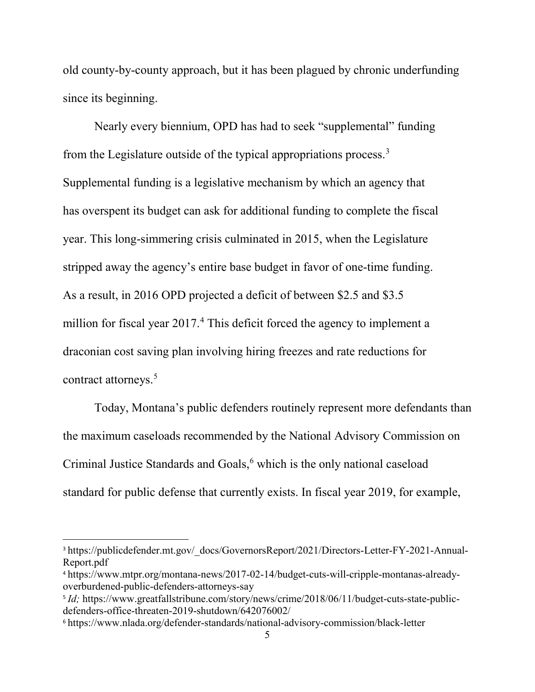old county-by-county approach, but it has been plagued by chronic underfunding since its beginning.

Nearly every biennium, OPD has had to seek "supplemental" funding from the Legislature outside of the typical appropriations process.<sup>[3](#page-11-0)</sup> Supplemental funding is a legislative mechanism by which an agency that has overspent its budget can ask for additional funding to complete the fiscal year. This long-simmering crisis culminated in 2015, when the Legislature stripped away the agency's entire base budget in favor of one-time funding. As a result, in 2016 OPD projected a deficit of between \$2.5 and \$3.5 million for fiscal year 2017.<sup>[4](#page-12-0)</sup> This deficit forced the agency to implement a draconian cost saving plan involving hiring freezes and rate reductions for contract attorneys.<sup>[5](#page-12-1)</sup>

Today, Montana's public defenders routinely represent more defendants than the maximum caseloads recommended by the National Advisory Commission on Criminal Justice Standards and Goals, [6](#page-12-2) which is the only national caseload standard for public defense that currently exists. In fiscal year 2019, for example,

 $\overline{\phantom{a}}$ 

<sup>&</sup>lt;sup>3</sup> [https://publicdefender.mt.gov/\\_docs/GovernorsReport/2021/Directors-Letter-FY-2021-Annual-](https://publicdefender.mt.gov/_docs/GovernorsReport/2021/Directors-Letter-FY-2021-Annual-Report.pdf)[Report.pdf](https://publicdefender.mt.gov/_docs/GovernorsReport/2021/Directors-Letter-FY-2021-Annual-Report.pdf)

<span id="page-11-0"></span><sup>4</sup> [https://www.mtpr.org/montana-news/2017-02-14/budget-cuts-will-cripple-montanas-already](https://www.mtpr.org/montana-news/2017-02-14/budget-cuts-will-cripple-montanas-already-overburdened-public-defenders-attorneys-say)[overburdened-public-defenders-attorneys-say](https://www.mtpr.org/montana-news/2017-02-14/budget-cuts-will-cripple-montanas-already-overburdened-public-defenders-attorneys-say)

<sup>&</sup>lt;sup>5</sup> *Id*; https://www.greatfallstribune.com/story/news/crime/2018/06/11/budget-cuts-state-publicdefenders-office-threaten-2019-shutdown/642076002/<br><sup>6</sup> https://www.nlada.org/defender-standards/national-advisory-commission/black-letter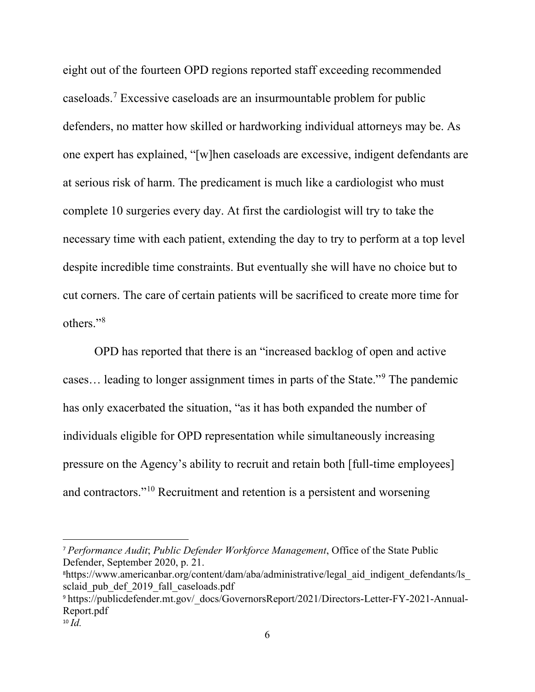eight out of the fourteen OPD regions reported staff exceeding recommended caseloads.[7](#page-13-0) Excessive caseloads are an insurmountable problem for public defenders, no matter how skilled or hardworking individual attorneys may be. As one expert has explained, "[w]hen caseloads are excessive, indigent defendants are at serious risk of harm. The predicament is much like a cardiologist who must complete 10 surgeries every day. At first the cardiologist will try to take the necessary time with each patient, extending the day to try to perform at a top level despite incredible time constraints. But eventually she will have no choice but to cut corners. The care of certain patients will be sacrificed to create more time for others.["8](#page-13-1)

OPD has reported that there is an "increased backlog of open and active cases… leading to longer assignment times in parts of the State."[9](#page-13-2) The pandemic has only exacerbated the situation, "as it has both expanded the number of individuals eligible for OPD representation while simultaneously increasing pressure on the Agency's ability to recruit and retain both [full-time employees] and contractors."[10](#page-14-0) Recruitment and retention is a persistent and worsening

<span id="page-12-1"></span><span id="page-12-0"></span> $\overline{\phantom{a}}$ 

<sup>7</sup> *Performance Audit*; *Public Defender Workforce Management*, Office of the State Public Defender, September 2020, p. 21.

<sup>8</sup> https://www.americanbar.org/content/dam/aba/administrative/legal\_aid\_indigent\_defendants/ls\_ sclaid pub def 2019 fall caseloads.pdf

<span id="page-12-2"></span><sup>9</sup> [https://publicdefender.mt.gov/\\_docs/GovernorsReport/2021/Directors-Letter-FY-2021-Annual-](https://publicdefender.mt.gov/_docs/GovernorsReport/2021/Directors-Letter-FY-2021-Annual-Report.pdf)[Report.pdf](https://publicdefender.mt.gov/_docs/GovernorsReport/2021/Directors-Letter-FY-2021-Annual-Report.pdf)

<sup>10</sup> *Id.*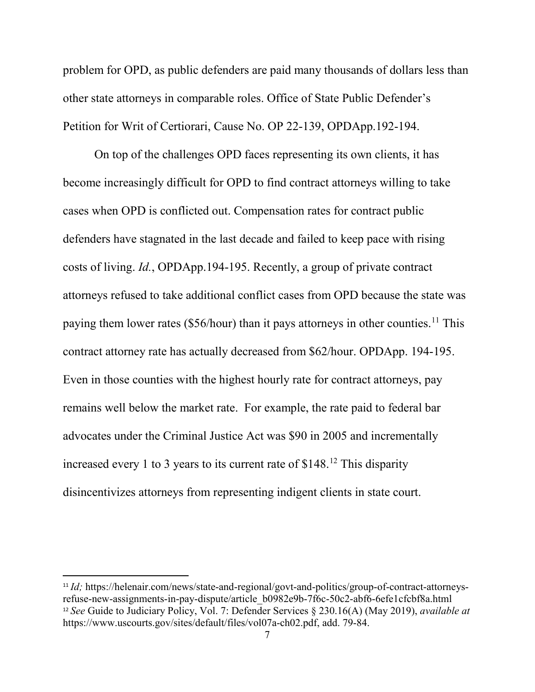problem for OPD, as public defenders are paid many thousands of dollars less than other state attorneys in comparable roles. Office of State Public Defender's Petition for Writ of Certiorari, Cause No. OP 22-139, OPDApp.192-194.

On top of the challenges OPD faces representing its own clients, it has become increasingly difficult for OPD to find contract attorneys willing to take cases when OPD is conflicted out. Compensation rates for contract public defenders have stagnated in the last decade and failed to keep pace with rising costs of living. *Id.*, OPDApp.194-195. Recently, a group of private contract attorneys refused to take additional conflict cases from OPD because the state was paying them lower rates (\$56/hour) than it pays attorneys in other counties.<sup>[11](#page-14-1)</sup> This contract attorney rate has actually decreased from \$62/hour. OPDApp. 194-195. Even in those counties with the highest hourly rate for contract attorneys, pay remains well below the market rate. For example, the rate paid to federal bar advocates under the Criminal Justice Act was \$90 in 2005 and incrementally increased every 1 to 3 years to its current rate of \$148.[12](#page-15-0) This disparity disincentivizes attorneys from representing indigent clients in state court.

<span id="page-13-1"></span><span id="page-13-0"></span>l

<span id="page-13-2"></span><sup>&</sup>lt;sup>11</sup> *Id*; https://helenair.com/news/state-and-regional/govt-and-politics/group-of-contract-attorneysrefuse-new-assignments-in-pay-dispute/article\_b0982e9b-7f6c-50c2-abf6-6efe1cfcbf8a.html <sup>12</sup> *See* Guide to Judiciary Policy, Vol. 7: Defender Services § 230.16(A) (May 2019), *available at*  https://www.uscourts.gov/sites/default/files/vol07a-ch02.pdf, add. 79-84.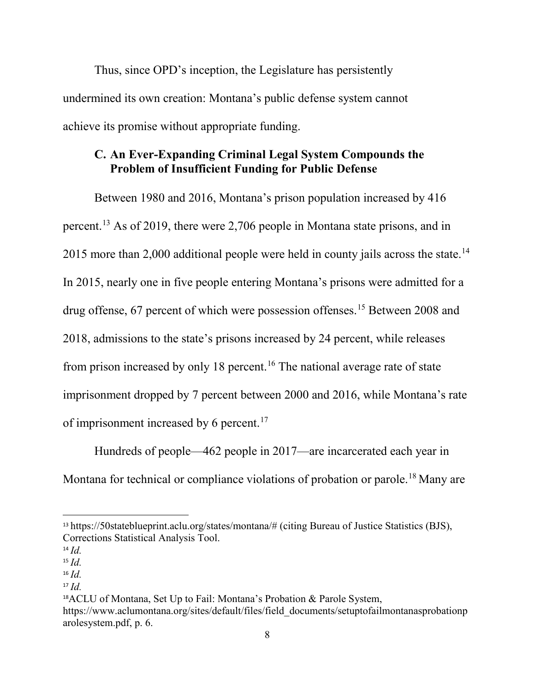Thus, since OPD's inception, the Legislature has persistently undermined its own creation: Montana's public defense system cannot achieve its promise without appropriate funding.

### **C. An Ever-Expanding Criminal Legal System Compounds the Problem of Insufficient Funding for Public Defense**

Between 1980 and 2016, Montana's prison population increased by 416 percent. [13](#page-15-1) As of 2019, there were 2,706 people in Montana state prisons, and in 2015 more than 2,000 additional people were held in county jails across the state.<sup>[14](#page-15-2)</sup> In 2015, nearly one in five people entering Montana's prisons were admitted for a drug offense, 67 percent of which were possession offenses.<sup>[15](#page-16-0)</sup> Between 2008 and 2018, admissions to the state's prisons increased by 24 percent, while releases from prison increased by only 18 percent.<sup>[16](#page-16-1)</sup> The national average rate of state imprisonment dropped by 7 percent between 2000 and 2016, while Montana's rate of imprisonment increased by 6 percent.<sup>[17](#page-16-2)</sup>

Hundreds of people—462 people in 2017—are incarcerated each year in Montana for technical or compliance violations of probation or parole.<sup>[18](#page-16-3)</sup> Many are

l

- <sup>16</sup> *Id.*
- <sup>17</sup> *Id.*

<sup>13</sup> [https://50stateblueprint.aclu.org/states/montana/#](https://50stateblueprint.aclu.org/states/montana/) (citing Bureau of Justice Statistics (BJS), Corrections Statistical Analysis Tool.

<span id="page-14-0"></span><sup>14</sup> *Id.*

<span id="page-14-1"></span><sup>15</sup> *Id.*

<sup>&</sup>lt;sup>18</sup>ACLU of Montana, Set Up to Fail: Montana's Probation & Parole System, [https://www.aclumontana.org/sites/default/files/field\\_documents/setuptofailmontanasprobationp](https://www.aclumontana.org/sites/default/files/field_documents/setuptofailmontanasprobationparolesystem.pdf) [arolesystem.pdf,](https://www.aclumontana.org/sites/default/files/field_documents/setuptofailmontanasprobationparolesystem.pdf) p. 6.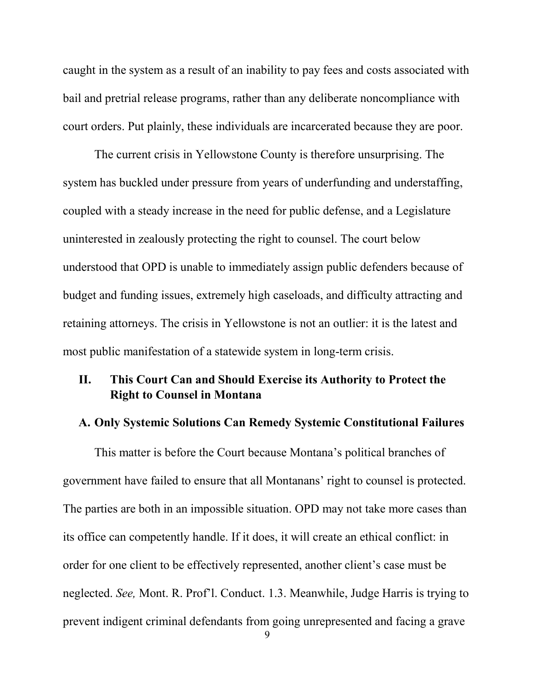caught in the system as a result of an inability to pay fees and costs associated with bail and pretrial release programs, rather than any deliberate noncompliance with court orders. Put plainly, these individuals are incarcerated because they are poor.

The current crisis in Yellowstone County is therefore unsurprising. The system has buckled under pressure from years of underfunding and understaffing, coupled with a steady increase in the need for public defense, and a Legislature uninterested in zealously protecting the right to counsel. The court below understood that OPD is unable to immediately assign public defenders because of budget and funding issues, extremely high caseloads, and difficulty attracting and retaining attorneys. The crisis in Yellowstone is not an outlier: it is the latest and most public manifestation of a statewide system in long-term crisis.

## **II. This Court Can and Should Exercise its Authority to Protect the Right to Counsel in Montana**

#### **A. Only Systemic Solutions Can Remedy Systemic Constitutional Failures**

<span id="page-15-2"></span><span id="page-15-1"></span><span id="page-15-0"></span>This matter is before the Court because Montana's political branches of government have failed to ensure that all Montanans' right to counsel is protected. The parties are both in an impossible situation. OPD may not take more cases than its office can competently handle. If it does, it will create an ethical conflict: in order for one client to be effectively represented, another client's case must be neglected. *See,* Mont. R. Prof'l. Conduct. 1.3. Meanwhile, Judge Harris is trying to prevent indigent criminal defendants from going unrepresented and facing a grave

<sup>9</sup>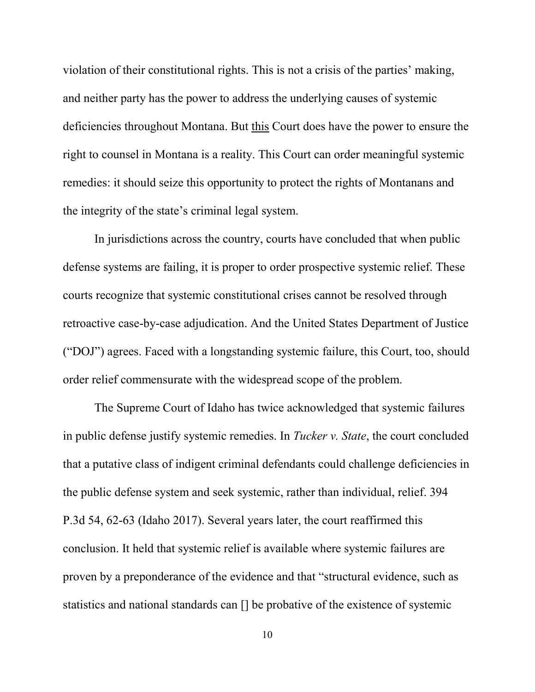violation of their constitutional rights. This is not a crisis of the parties' making, and neither party has the power to address the underlying causes of systemic deficiencies throughout Montana. But this Court does have the power to ensure the right to counsel in Montana is a reality. This Court can order meaningful systemic remedies: it should seize this opportunity to protect the rights of Montanans and the integrity of the state's criminal legal system.

In jurisdictions across the country, courts have concluded that when public defense systems are failing, it is proper to order prospective systemic relief. These courts recognize that systemic constitutional crises cannot be resolved through retroactive case-by-case adjudication. And the United States Department of Justice ("DOJ") agrees. Faced with a longstanding systemic failure, this Court, too, should order relief commensurate with the widespread scope of the problem.

<span id="page-16-3"></span><span id="page-16-2"></span><span id="page-16-1"></span><span id="page-16-0"></span>The Supreme Court of Idaho has twice acknowledged that systemic failures in public defense justify systemic remedies. In *Tucker v. State*, the court concluded that a putative class of indigent criminal defendants could challenge deficiencies in the public defense system and seek systemic, rather than individual, relief. 394 P.3d 54, 62-63 (Idaho 2017). Several years later, the court reaffirmed this conclusion. It held that systemic relief is available where systemic failures are proven by a preponderance of the evidence and that "structural evidence, such as statistics and national standards can [] be probative of the existence of systemic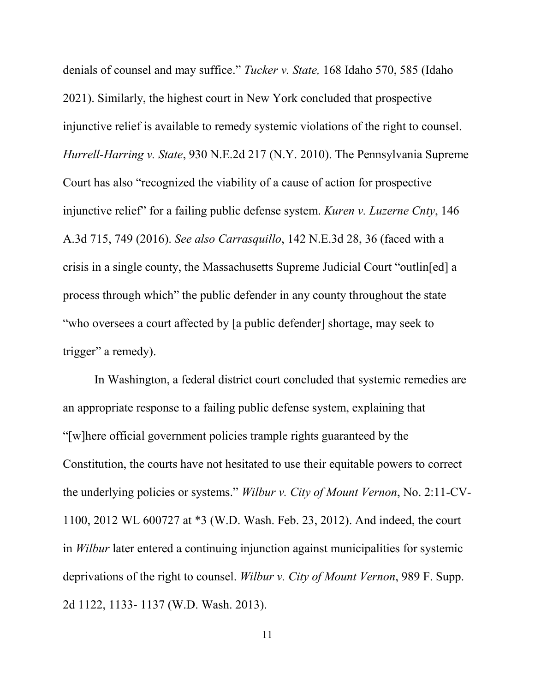denials of counsel and may suffice." *Tucker v. State,* 168 Idaho 570, 585 (Idaho 2021). Similarly, the highest court in New York concluded that prospective injunctive relief is available to remedy systemic violations of the right to counsel. *Hurrell-Harring v. State*, 930 N.E.2d 217 (N.Y. 2010). The Pennsylvania Supreme Court has also "recognized the viability of a cause of action for prospective injunctive relief" for a failing public defense system. *Kuren v. Luzerne Cnty*, 146 A.3d 715, 749 (2016). *See also Carrasquillo*, 142 N.E.3d 28, 36 (faced with a crisis in a single county, the Massachusetts Supreme Judicial Court "outlin[ed] a process through which" the public defender in any county throughout the state "who oversees a court affected by [a public defender] shortage, may seek to trigger" a remedy).

In Washington, a federal district court concluded that systemic remedies are an appropriate response to a failing public defense system, explaining that "[w]here official government policies trample rights guaranteed by the Constitution, the courts have not hesitated to use their equitable powers to correct the underlying policies or systems." *Wilbur v. City of Mount Vernon*, No. 2:11-CV-1100, 2012 WL 600727 at \*3 (W.D. Wash. Feb. 23, 2012). And indeed, the court in *Wilbur* later entered a continuing injunction against municipalities for systemic deprivations of the right to counsel. *Wilbur v. City of Mount Vernon*, 989 F. Supp. 2d 1122, 1133- 1137 (W.D. Wash. 2013).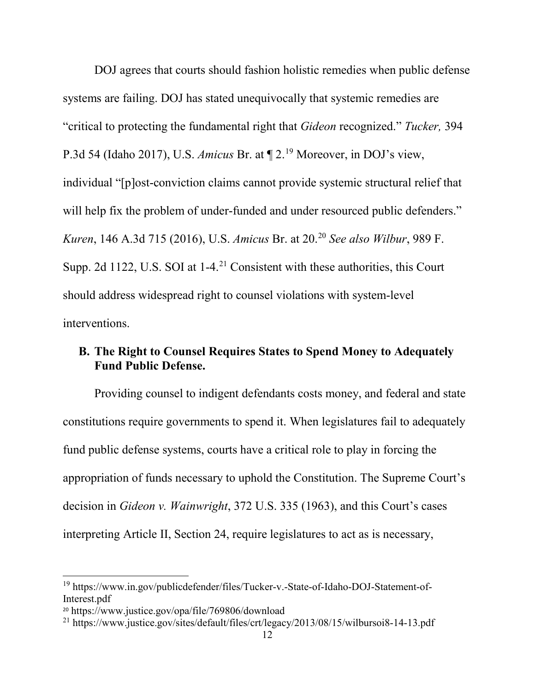DOJ agrees that courts should fashion holistic remedies when public defense systems are failing. DOJ has stated unequivocally that systemic remedies are "critical to protecting the fundamental right that *Gideon* recognized." *Tucker,* 394 P.3d 54 (Idaho 2017), U.S. *Amicus* Br. at ¶ 2. [19](#page-20-0) Moreover, in DOJ's view, individual "[p]ost-conviction claims cannot provide systemic structural relief that will help fix the problem of under-funded and under resourced public defenders." *Kuren*, 146 A.3d 715 (2016), U.S. *Amicus* Br. at 20.[20](#page-20-1) *See also Wilbur*, 989 F. Supp. 2d 1122, U.S. SOI at 1-4.<sup>[21](#page-21-0)</sup> Consistent with these authorities, this Court should address widespread right to counsel violations with system-level interventions.

#### **B. The Right to Counsel Requires States to Spend Money to Adequately Fund Public Defense.**

Providing counsel to indigent defendants costs money, and federal and state constitutions require governments to spend it. When legislatures fail to adequately fund public defense systems, courts have a critical role to play in forcing the appropriation of funds necessary to uphold the Constitution. The Supreme Court's decision in *Gideon v. Wainwright*, 372 U.S. 335 (1963), and this Court's cases interpreting Article II, Section 24, require legislatures to act as is necessary,

 $\overline{\phantom{a}}$ 

<sup>&</sup>lt;sup>19</sup> [https://www.in.gov/publicdefender/files/Tucker-v.-State-of-Idaho-DOJ-Statement-of-](https://www.in.gov/publicdefender/files/Tucker-v.-State-of-Idaho-DOJ-Statement-of-Interest.pdf)[Interest.pdf](https://www.in.gov/publicdefender/files/Tucker-v.-State-of-Idaho-DOJ-Statement-of-Interest.pdf)

<sup>20</sup> <https://www.justice.gov/opa/file/769806/download>

<sup>21</sup> https://www.justice.gov/sites/default/files/crt/legacy/2013/08/15/wilbursoi8-14-13.pdf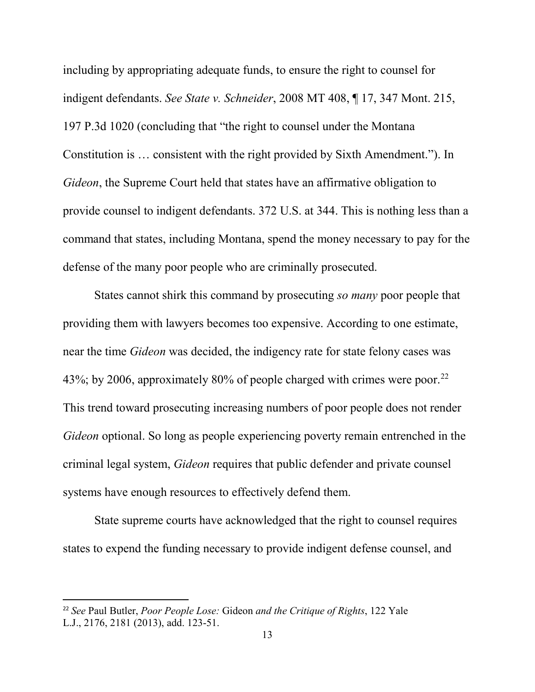including by appropriating adequate funds, to ensure the right to counsel for indigent defendants. *See State v. Schneider*, 2008 MT 408, ¶ 17, 347 Mont. 215, 197 P.3d 1020 (concluding that "the right to counsel under the Montana Constitution is … consistent with the right provided by Sixth Amendment."). In *Gideon*, the Supreme Court held that states have an affirmative obligation to provide counsel to indigent defendants. 372 U.S. at 344. This is nothing less than a command that states, including Montana, spend the money necessary to pay for the defense of the many poor people who are criminally prosecuted.

States cannot shirk this command by prosecuting *so many* poor people that providing them with lawyers becomes too expensive. According to one estimate, near the time *Gideon* was decided, the indigency rate for state felony cases was 43%; by 2006, approximately 80% of people charged with crimes were poor.<sup>[22](#page-22-0)</sup> This trend toward prosecuting increasing numbers of poor people does not render *Gideon* optional. So long as people experiencing poverty remain entrenched in the criminal legal system, *Gideon* requires that public defender and private counsel systems have enough resources to effectively defend them.

State supreme courts have acknowledged that the right to counsel requires states to expend the funding necessary to provide indigent defense counsel, and

 $\overline{\phantom{a}}$ 

<sup>22</sup> *See* Paul Butler, *Poor People Lose:* Gideon *and the Critique of Rights*, 122 Yale L.J., 2176, 2181 (2013), add. 123-51.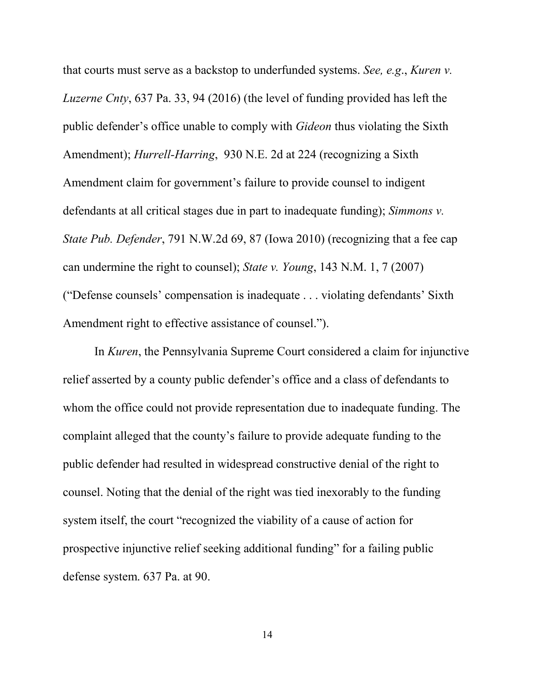that courts must serve as a backstop to underfunded systems. *See, e.g*., *Kuren v. Luzerne Cnty*, 637 Pa. 33, 94 (2016) (the level of funding provided has left the public defender's office unable to comply with *Gideon* thus violating the Sixth Amendment); *Hurrell-Harring*, 930 N.E. 2d at 224 (recognizing a Sixth Amendment claim for government's failure to provide counsel to indigent defendants at all critical stages due in part to inadequate funding); *Simmons v. State Pub. Defender*, 791 N.W.2d 69, 87 (Iowa 2010) (recognizing that a fee cap can undermine the right to counsel); *State v. Young*, 143 N.M. 1, 7 (2007) ("Defense counsels' compensation is inadequate . . . violating defendants' Sixth Amendment right to effective assistance of counsel.").

<span id="page-20-1"></span><span id="page-20-0"></span>In *Kuren*, the Pennsylvania Supreme Court considered a claim for injunctive relief asserted by a county public defender's office and a class of defendants to whom the office could not provide representation due to inadequate funding. The complaint alleged that the county's failure to provide adequate funding to the public defender had resulted in widespread constructive denial of the right to counsel. Noting that the denial of the right was tied inexorably to the funding system itself, the court "recognized the viability of a cause of action for prospective injunctive relief seeking additional funding" for a failing public defense system. 637 Pa. at 90.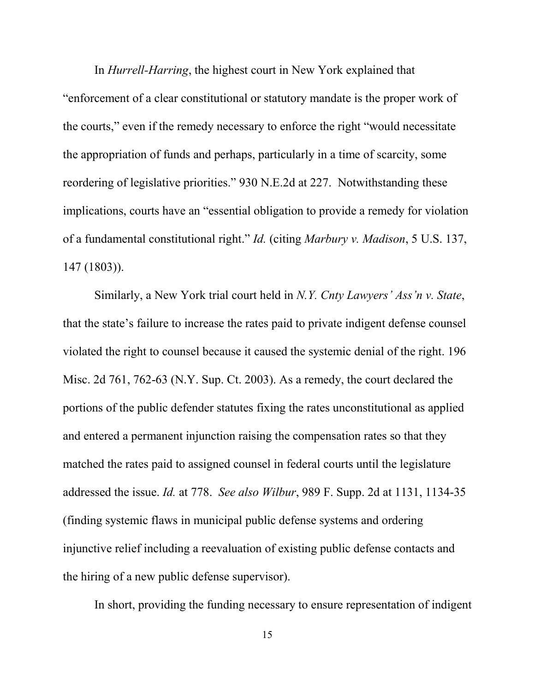In *Hurrell-Harring*, the highest court in New York explained that "enforcement of a clear constitutional or statutory mandate is the proper work of the courts," even if the remedy necessary to enforce the right "would necessitate the appropriation of funds and perhaps, particularly in a time of scarcity, some reordering of legislative priorities." 930 N.E.2d at 227. Notwithstanding these implications, courts have an "essential obligation to provide a remedy for violation of a fundamental constitutional right." *Id.* (citing *Marbury v. Madison*, 5 U.S. 137, 147 (1803)).

Similarly, a New York trial court held in *N.Y. Cnty Lawyers' Ass'n v. State*, that the state's failure to increase the rates paid to private indigent defense counsel violated the right to counsel because it caused the systemic denial of the right. 196 Misc. 2d 761, 762-63 (N.Y. Sup. Ct. 2003). As a remedy, the court declared the portions of the public defender statutes fixing the rates unconstitutional as applied and entered a permanent injunction raising the compensation rates so that they matched the rates paid to assigned counsel in federal courts until the legislature addressed the issue. *Id.* at 778. *See also Wilbur*, 989 F. Supp. 2d at 1131, 1134-35 (finding systemic flaws in municipal public defense systems and ordering injunctive relief including a reevaluation of existing public defense contacts and the hiring of a new public defense supervisor).

<span id="page-21-0"></span>In short, providing the funding necessary to ensure representation of indigent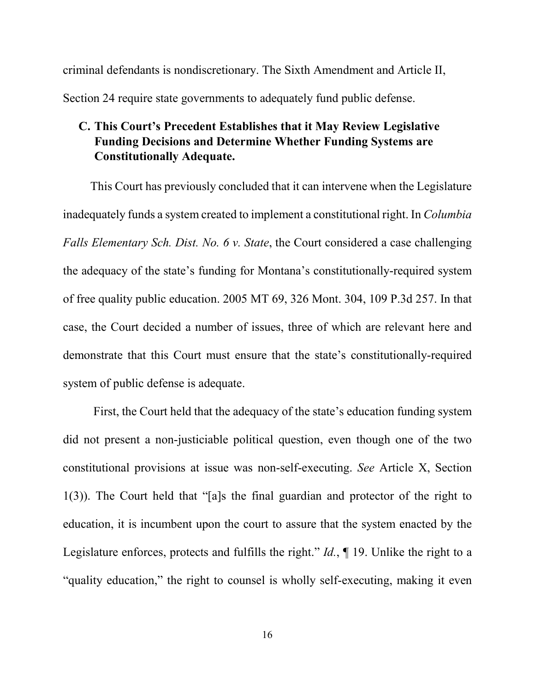criminal defendants is nondiscretionary. The Sixth Amendment and Article II, Section 24 require state governments to adequately fund public defense.

## **C. This Court's Precedent Establishes that it May Review Legislative Funding Decisions and Determine Whether Funding Systems are Constitutionally Adequate.**

 This Court has previously concluded that it can intervene when the Legislature inadequately funds a system created to implement a constitutional right. In *Columbia Falls Elementary Sch. Dist. No. 6 v. State*, the Court considered a case challenging the adequacy of the state's funding for Montana's constitutionally-required system of free quality public education. 2005 MT 69, 326 Mont. 304, 109 P.3d 257. In that case, the Court decided a number of issues, three of which are relevant here and demonstrate that this Court must ensure that the state's constitutionally-required system of public defense is adequate.

<span id="page-22-0"></span> First, the Court held that the adequacy of the state's education funding system did not present a non-justiciable political question, even though one of the two constitutional provisions at issue was non-self-executing. *See* Article X, Section 1(3)). The Court held that "[a]s the final guardian and protector of the right to education, it is incumbent upon the court to assure that the system enacted by the Legislature enforces, protects and fulfills the right." *Id.*, ¶ 19. Unlike the right to a "quality education," the right to counsel is wholly self-executing, making it even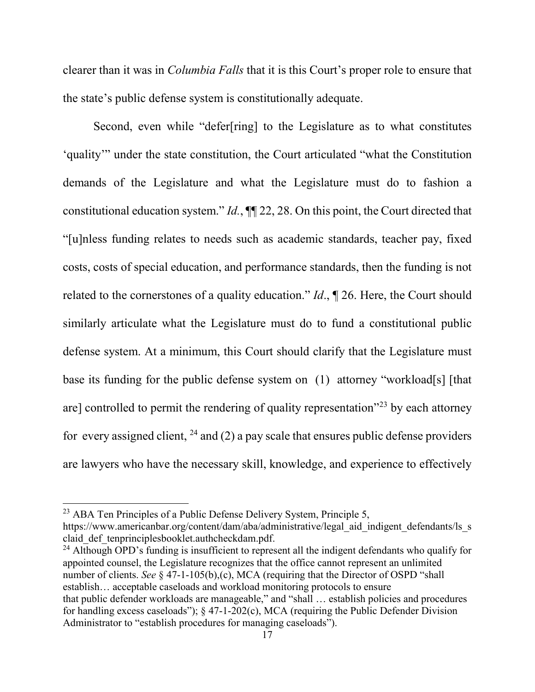clearer than it was in *Columbia Falls* that it is this Court's proper role to ensure that the state's public defense system is constitutionally adequate.

 Second, even while "defer[ring] to the Legislature as to what constitutes 'quality'" under the state constitution, the Court articulated "what the Constitution demands of the Legislature and what the Legislature must do to fashion a constitutional education system." *Id.*, ¶¶ 22, 28. On this point, the Court directed that "[u]nless funding relates to needs such as academic standards, teacher pay, fixed costs, costs of special education, and performance standards, then the funding is not related to the cornerstones of a quality education." *Id*., ¶ 26. Here, the Court should similarly articulate what the Legislature must do to fund a constitutional public defense system. At a minimum, this Court should clarify that the Legislature must base its funding for the public defense system on (1) attorney "workload[s] [that are] controlled to permit the rendering of quality representation<sup>"[23](#page-27-0)</sup> by each attorney for every assigned client,  $^{24}$  $^{24}$  $^{24}$  and (2) a pay scale that ensures public defense providers are lawyers who have the necessary skill, knowledge, and experience to effectively

l

[claid\\_def\\_tenprinciplesbooklet.authcheckdam.pdf.](https://www.americanbar.org/content/dam/aba/administrative/legal_aid_indigent_defendants/ls_sclaid_def_tenprinciplesbooklet.authcheckdam.pdf)<br><sup>24</sup> Although OPD's funding is insufficient to represent all the indigent defendants who qualify for appointed counsel, the Legislature recognizes that the office cannot represent an unlimited number of clients. *See* § 47-1-105(b),(c), MCA (requiring that the Director of OSPD "shall establish… acceptable caseloads and workload monitoring protocols to ensure that public defender workloads are manageable," and "shall … establish policies and procedures for handling excess caseloads");  $\frac{647-1-202(c)}{c}$ , MCA (requiring the Public Defender Division Administrator to "establish procedures for managing caseloads").

<sup>&</sup>lt;sup>23</sup> ABA Ten Principles of a Public Defense Delivery System, Principle 5, https://www.americanbar.org/content/dam/aba/administrative/legal aid indigent defendants/ls s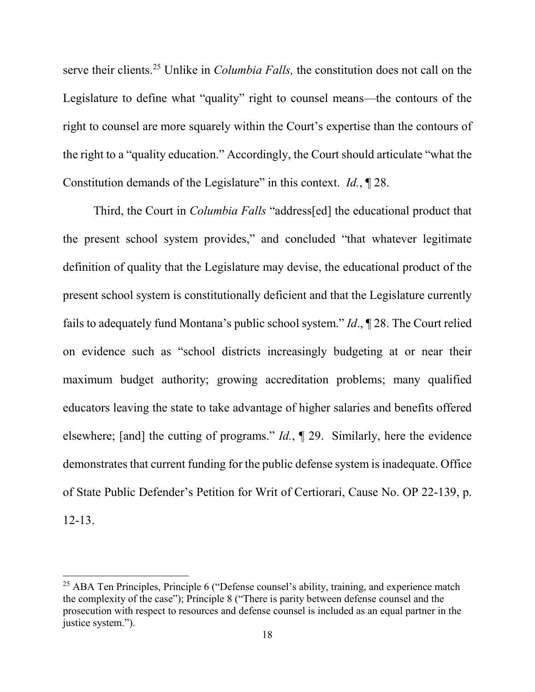serve their clients. [25](#page-28-0) Unlike in *Columbia Falls,* the constitution does not call on the Legislature to define what "quality" right to counsel means—the contours of the right to counsel are more squarely within the Court's expertise than the contours of the right to a "quality education." Accordingly, the Court should articulate "what the Constitution demands of the Legislature" in this context. *Id.*, ¶ 28.

 Third, the Court in *Columbia Falls* "address[ed] the educational product that the present school system provides," and concluded "that whatever legitimate definition of quality that the Legislature may devise, the educational product of the present school system is constitutionally deficient and that the Legislature currently fails to adequately fund Montana's public school system." *Id*., ¶ 28. The Court relied on evidence such as "school districts increasingly budgeting at or near their maximum budget authority; growing accreditation problems; many qualified educators leaving the state to take advantage of higher salaries and benefits offered elsewhere; [and] the cutting of programs." *Id.*, ¶ 29. Similarly, here the evidence demonstrates that current funding for the public defense system is inadequate. Office of State Public Defender's Petition for Writ of Certiorari, Cause No. OP 22-139, p. 12-13.

l

 $25$  ABA Ten Principles, Principle 6 ("Defense counsel's ability, training, and experience match the complexity of the case"); Principle 8 ("There is parity between defense counsel and the prosecution with respect to resources and defense counsel is included as an equal partner in the justice system.").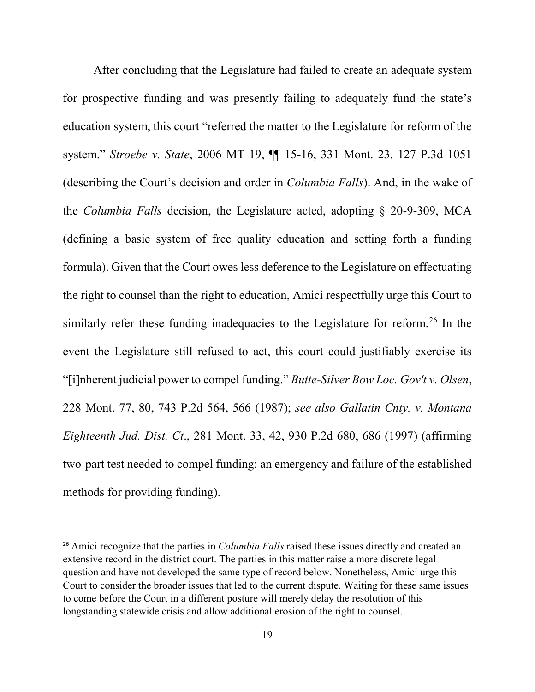After concluding that the Legislature had failed to create an adequate system for prospective funding and was presently failing to adequately fund the state's education system, this court "referred the matter to the Legislature for reform of the system." *Stroebe v. State*, 2006 MT 19, ¶¶ 15-16, 331 Mont. 23, 127 P.3d 1051 (describing the Court's decision and order in *Columbia Falls*). And, in the wake of the *Columbia Falls* decision, the Legislature acted, adopting § 20-9-309, MCA (defining a basic system of free quality education and setting forth a funding formula). Given that the Court owes less deference to the Legislature on effectuating the right to counsel than the right to education, Amici respectfully urge this Court to similarly refer these funding inadequacies to the Legislature for reform.<sup>[26](#page-30-0)</sup> In the event the Legislature still refused to act, this court could justifiably exercise its "[i]nherent judicial power to compel funding." *Butte-Silver Bow Loc. Gov't v. Olsen*, 228 Mont. 77, 80, 743 P.2d 564, 566 (1987); *see also Gallatin Cnty. v. Montana Eighteenth Jud. Dist. Ct*., 281 Mont. 33, 42, 930 P.2d 680, 686 (1997) (affirming two-part test needed to compel funding: an emergency and failure of the established methods for providing funding).

l

<sup>&</sup>lt;sup>26</sup> Amici recognize that the parties in *Columbia Falls* raised these issues directly and created an extensive record in the district court. The parties in this matter raise a more discrete legal question and have not developed the same type of record below. Nonetheless, Amici urge this Court to consider the broader issues that led to the current dispute. Waiting for these same issues to come before the Court in a different posture will merely delay the resolution of this longstanding statewide crisis and allow additional erosion of the right to counsel.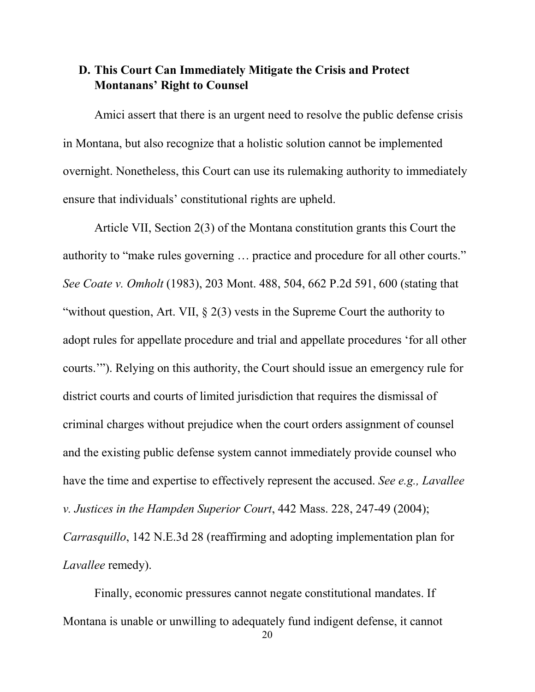## **D. This Court Can Immediately Mitigate the Crisis and Protect Montanans' Right to Counsel**

Amici assert that there is an urgent need to resolve the public defense crisis in Montana, but also recognize that a holistic solution cannot be implemented overnight. Nonetheless, this Court can use its rulemaking authority to immediately ensure that individuals' constitutional rights are upheld.

Article VII, Section 2(3) of the Montana constitution grants this Court the authority to "make rules governing … practice and procedure for all other courts." *See Coate v. Omholt* (1983), 203 Mont. 488, 504, 662 P.2d 591, 600 (stating that "without question, Art. VII,  $\S 2(3)$  vests in the Supreme Court the authority to adopt rules for appellate procedure and trial and appellate procedures 'for all other courts.'"). Relying on this authority, the Court should issue an emergency rule for district courts and courts of limited jurisdiction that requires the dismissal of criminal charges without prejudice when the court orders assignment of counsel and the existing public defense system cannot immediately provide counsel who have the time and expertise to effectively represent the accused. *See e.g., Lavallee v. Justices in the Hampden Superior Court*, 442 Mass. 228, 247-49 (2004); *Carrasquillo*, 142 N.E.3d 28 (reaffirming and adopting implementation plan for *Lavallee* remedy).

Finally, economic pressures cannot negate constitutional mandates. If Montana is unable or unwilling to adequately fund indigent defense, it cannot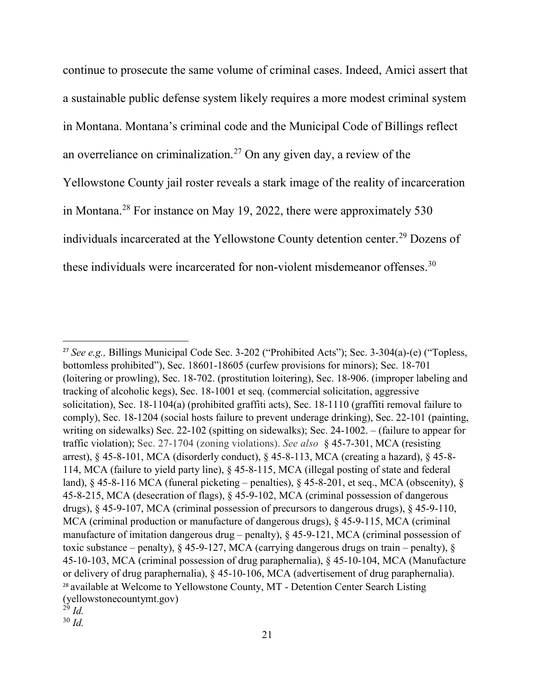continue to prosecute the same volume of criminal cases. Indeed, Amici assert that a sustainable public defense system likely requires a more modest criminal system in Montana. Montana's criminal code and the Municipal Code of Billings reflect an overreliance on criminalization.<sup>[27](#page-31-0)</sup> On any given day, a review of the Yellowstone County jail roster reveals a stark image of the reality of incarceration in Montana.[28](#page-31-1) For instance on May 19, 2022, there were approximately 530 individuals incarcerated at the Yellowstone County detention center.<sup>[29](#page-31-2)</sup> Dozens of these individuals were incarcerated for non-violent misdemeanor offenses.<sup>[30](#page-31-3)</sup>

 $\overline{a}$ 

<span id="page-27-0"></span><sup>27</sup> *See e.g.,* Billings Municipal Code Sec. 3-202 ("Prohibited Acts"); Sec. 3-304(a)-(e) ("Topless, bottomless prohibited"), Sec. 18601-18605 (curfew provisions for minors); Sec. 18-701 (loitering or prowling), Sec. 18-702. (prostitution loitering), Sec. 18-906. (improper labeling and tracking of alcoholic kegs), Sec. 18-1001 et seq. (commercial solicitation, aggressive solicitation), Sec. 18-1104(a) (prohibited graffiti acts), Sec. 18-1110 (graffiti removal failure to comply), Sec. 18-1204 (social hosts failure to prevent underage drinking), Sec. 22-101 (painting, writing on sidewalks) Sec. 22-102 (spitting on sidewalks); Sec. 24-1002. – (failure to appear for traffic violation); Sec. 27-1704 (zoning violations). *See also* § 45-7-301, MCA (resisting arrest), § 45-8-101, MCA (disorderly conduct), § 45-8-113, MCA (creating a hazard), § 45-8- 114, MCA (failure to yield party line), § 45-8-115, MCA (illegal posting of state and federal land), § 45-8-116 MCA (funeral picketing – penalties), § 45-8-201, et seq., MCA (obscenity), § 45-8-215, MCA (desecration of flags), § 45-9-102, MCA (criminal possession of dangerous drugs), § 45-9-107, MCA (criminal possession of precursors to dangerous drugs), § 45-9-110, MCA (criminal production or manufacture of dangerous drugs), § 45-9-115, MCA (criminal manufacture of imitation dangerous drug – penalty), § 45-9-121, MCA (criminal possession of toxic substance – penalty),  $\S$  45-9-127, MCA (carrying dangerous drugs on train – penalty),  $\S$ 45-10-103, MCA (criminal possession of drug paraphernalia), § 45-10-104, MCA (Manufacture or delivery of drug paraphernalia), § 45-10-106, MCA (advertisement of drug paraphernalia). <sup>28</sup> available at Welcome to Yellowstone County, MT - Detention Center Search Listing (yellowstonecountymt.gov) <sup>29</sup> *Id.*

<span id="page-27-1"></span><sup>30</sup> *Id.*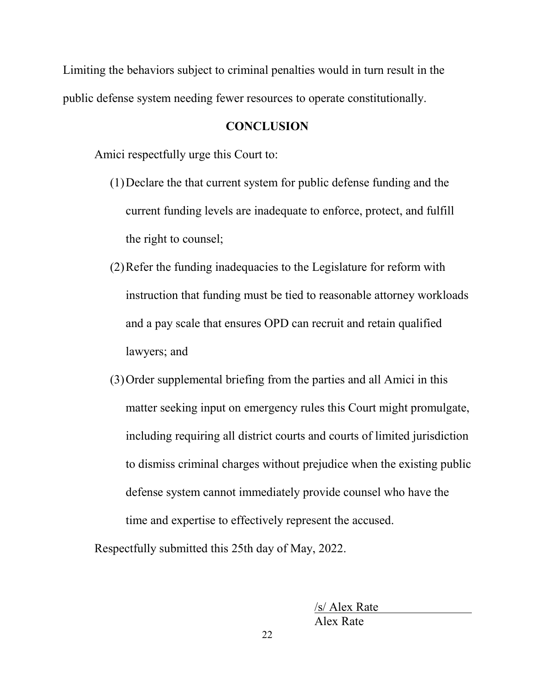Limiting the behaviors subject to criminal penalties would in turn result in the public defense system needing fewer resources to operate constitutionally.

#### **CONCLUSION**

Amici respectfully urge this Court to:

- (1)Declare the that current system for public defense funding and the current funding levels are inadequate to enforce, protect, and fulfill the right to counsel;
- (2)Refer the funding inadequacies to the Legislature for reform with instruction that funding must be tied to reasonable attorney workloads and a pay scale that ensures OPD can recruit and retain qualified lawyers; and
- (3)Order supplemental briefing from the parties and all Amici in this matter seeking input on emergency rules this Court might promulgate, including requiring all district courts and courts of limited jurisdiction to dismiss criminal charges without prejudice when the existing public defense system cannot immediately provide counsel who have the time and expertise to effectively represent the accused.

<span id="page-28-0"></span>Respectfully submitted this 25th day of May, 2022.

/s/ Alex Rate Alex Rate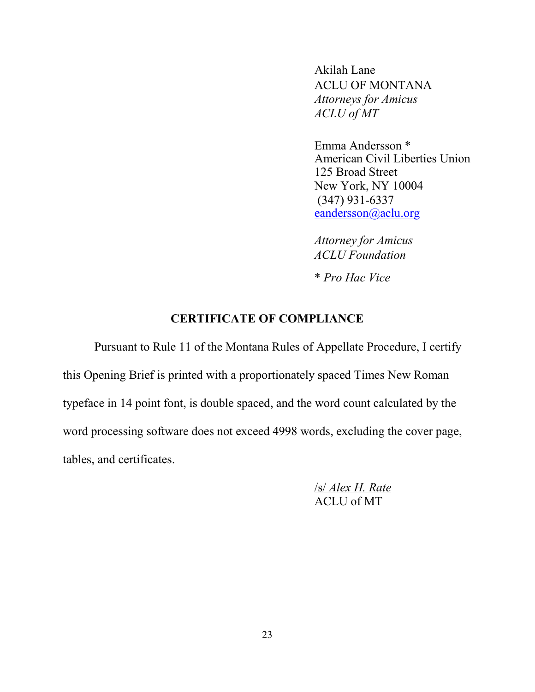Akilah Lane ACLU OF MONTANA *Attorneys for Amicus ACLU of MT*

Emma Andersson \* American Civil Liberties Union 125 Broad Street New York, NY 10004 (347) 931-6337 [eandersson@aclu.org](mailto:eandersson@aclu.org)

*Attorney for Amicus ACLU Foundation* \* *Pro Hac Vice*

# **CERTIFICATE OF COMPLIANCE**

Pursuant to Rule 11 of the Montana Rules of Appellate Procedure, I certify this Opening Brief is printed with a proportionately spaced Times New Roman typeface in 14 point font, is double spaced, and the word count calculated by the word processing software does not exceed 4998 words, excluding the cover page, tables, and certificates.

> /s/ *Alex H. Rate* ACLU of MT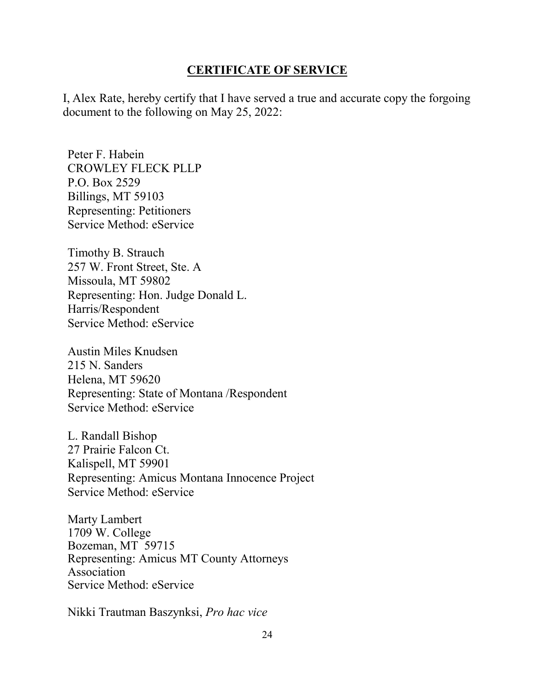#### **CERTIFICATE OF SERVICE**

I, Alex Rate, hereby certify that I have served a true and accurate copy the forgoing document to the following on May 25, 2022:

Peter F. Habein CROWLEY FLECK PLLP P.O. Box 2529 Billings, MT 59103 Representing: Petitioners Service Method: eService

Timothy B. Strauch 257 W. Front Street, Ste. A Missoula, MT 59802 Representing: Hon. Judge Donald L. Harris/Respondent Service Method: eService

Austin Miles Knudsen 215 N. Sanders Helena, MT 59620 Representing: State of Montana /Respondent Service Method: eService

L. Randall Bishop 27 Prairie Falcon Ct. Kalispell, MT 59901 Representing: Amicus Montana Innocence Project Service Method: eService

<span id="page-30-0"></span>Marty Lambert 1709 W. College Bozeman, MT 59715 [Representing:](mailto:marty.lambert@gallatin.mt.gov) Amicus MT County Attorneys Association Service Method: eService

Nikki Trautman Baszynksi, *Pro hac vice*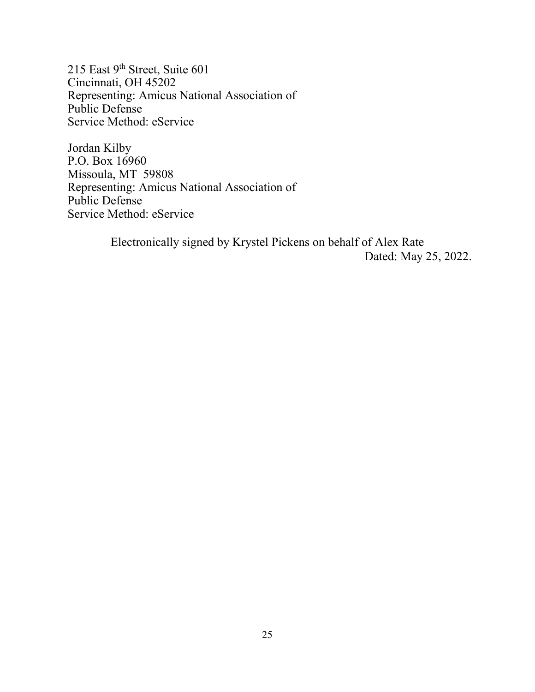215 East 9th Street, Suite 601 Cincinnati, OH 45202 Representing: Amicus National Association of Public Defense Service Method: eService

Jordan Kilby P.O. Box 16960 Missoula, MT 59808 Representing: Amicus National Association of Public Defense Service Method: eService

> <span id="page-31-3"></span><span id="page-31-2"></span><span id="page-31-1"></span><span id="page-31-0"></span>Electronically signed by Krystel Pickens on behalf of Alex Rate Dated: May 25, 2022.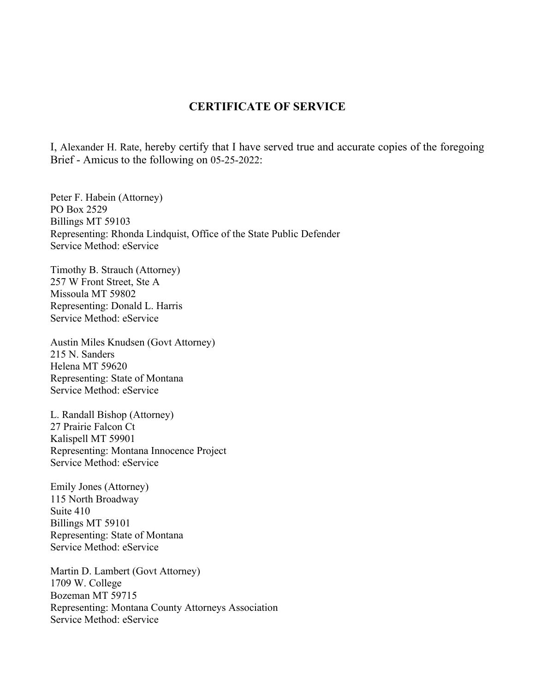#### **CERTIFICATE OF SERVICE**

I, Alexander H. Rate, hereby certify that I have served true and accurate copies of the foregoing Brief - Amicus to the following on 05-25-2022:

Peter F. Habein (Attorney) PO Box 2529 Billings MT 59103 Representing: Rhonda Lindquist, Office of the State Public Defender Service Method: eService

Timothy B. Strauch (Attorney) 257 W Front Street, Ste A Missoula MT 59802 Representing: Donald L. Harris Service Method: eService

Austin Miles Knudsen (Govt Attorney) 215 N. Sanders Helena MT 59620 Representing: State of Montana Service Method: eService

L. Randall Bishop (Attorney) 27 Prairie Falcon Ct Kalispell MT 59901 Representing: Montana Innocence Project Service Method: eService

Emily Jones (Attorney) 115 North Broadway Suite 410 Billings MT 59101 Representing: State of Montana Service Method: eService

Martin D. Lambert (Govt Attorney) 1709 W. College Bozeman MT 59715 Representing: Montana County Attorneys Association Service Method: eService